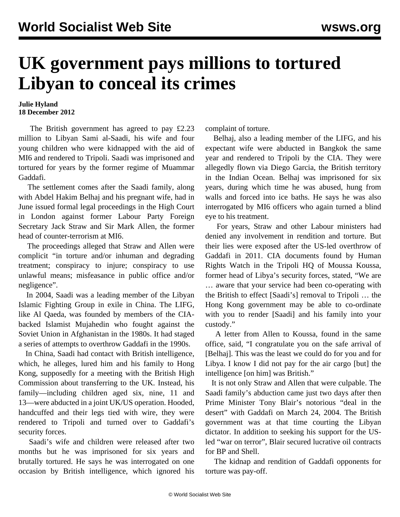## **UK government pays millions to tortured Libyan to conceal its crimes**

## **Julie Hyland 18 December 2012**

 The British government has agreed to pay £2.23 million to Libyan Sami al-Saadi, his wife and four young children who were kidnapped with the aid of MI6 and rendered to Tripoli. Saadi was imprisoned and tortured for years by the former regime of Muammar Gaddafi.

 The settlement comes after the Saadi family, along with Abdel Hakim Belhaj and his pregnant wife, had in June issued formal legal proceedings in the High Court in London against former Labour Party Foreign Secretary Jack Straw and Sir Mark Allen, the former head of counter-terrorism at MI6.

 The proceedings alleged that Straw and Allen were complicit "in torture and/or inhuman and degrading treatment; conspiracy to injure; conspiracy to use unlawful means; misfeasance in public office and/or negligence".

 In 2004, Saadi was a leading member of the Libyan Islamic Fighting Group in exile in China. The LIFG, like Al Qaeda, was founded by members of the CIAbacked Islamist Mujahedin who fought against the Soviet Union in Afghanistan in the 1980s. It had staged a series of attempts to overthrow Gaddafi in the 1990s.

 In China, Saadi had contact with British intelligence, which, he alleges, lured him and his family to Hong Kong, supposedly for a meeting with the British High Commission about transferring to the UK. Instead, his family—including children aged six, nine, 11 and 13—were abducted in a joint UK/US operation. Hooded, handcuffed and their legs tied with wire, they were rendered to Tripoli and turned over to Gaddafi's security forces.

 Saadi's wife and children were released after two months but he was imprisoned for six years and brutally tortured. He says he was interrogated on one occasion by British intelligence, which ignored his complaint of torture.

 Belhaj, also a leading member of the LIFG, and his expectant wife were abducted in Bangkok the same year and rendered to Tripoli by the CIA. They were allegedly flown via Diego Garcia, the British territory in the Indian Ocean. Belhaj was imprisoned for six years, during which time he was abused, hung from walls and forced into ice baths. He says he was also interrogated by MI6 officers who again turned a blind eye to his treatment.

 For years, Straw and other Labour ministers had denied any involvement in rendition and torture. But their lies were exposed after the US-led overthrow of Gaddafi in 2011. CIA documents found by Human Rights Watch in the Tripoli HQ of Moussa Koussa, former head of Libya's security forces, stated, "We are … aware that your service had been co-operating with the British to effect [Saadi's] removal to Tripoli … the Hong Kong government may be able to co-ordinate with you to render [Saadi] and his family into your custody."

 A letter from Allen to Koussa, found in the same office, said, "I congratulate you on the safe arrival of [Belhaj]. This was the least we could do for you and for Libya. I know I did not pay for the air cargo [but] the intelligence [on him] was British."

 It is not only Straw and Allen that were culpable. The Saadi family's abduction came just two days after then Prime Minister Tony Blair's notorious "deal in the desert" with Gaddafi on March 24, 2004. The British government was at that time courting the Libyan dictator. In addition to seeking his support for the USled "war on terror", Blair secured lucrative oil contracts for BP and Shell.

 The kidnap and rendition of Gaddafi opponents for torture was pay-off.